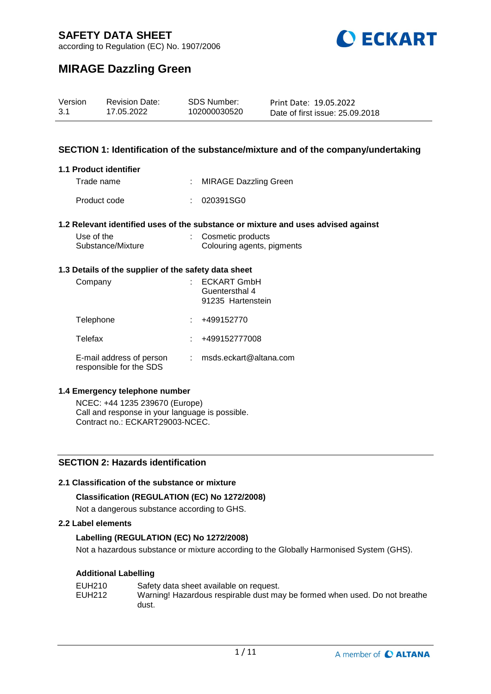

according to Regulation (EC) No. 1907/2006

# **MIRAGE Dazzling Green**

| Version | <b>Revision Date:</b> | <b>SDS Number:</b> | Print Date: 19.05.2022          |
|---------|-----------------------|--------------------|---------------------------------|
| 3.1     | 17.05.2022            | 102000030520       | Date of first issue: 25.09.2018 |

### **SECTION 1: Identification of the substance/mixture and of the company/undertaking**

#### **1.1 Product identifier**

Trade name : MIRAGE Dazzling Green

Product code : 020391SG0

#### **1.2 Relevant identified uses of the substance or mixture and uses advised against**

| Use of the        | : Cosmetic products        |
|-------------------|----------------------------|
| Substance/Mixture | Colouring agents, pigments |

#### **1.3 Details of the supplier of the safety data sheet**

| Company                                             | <b>ECKART GmbH</b><br>Guentersthal 4<br>91235 Hartenstein |
|-----------------------------------------------------|-----------------------------------------------------------|
| Telephone                                           | +499152770                                                |
| Telefax                                             | +499152777008                                             |
| E-mail address of person<br>responsible for the SDS | msds.eckart@altana.com                                    |

#### **1.4 Emergency telephone number**

NCEC: +44 1235 239670 (Europe) Call and response in your language is possible. Contract no.: ECKART29003-NCEC.

## **SECTION 2: Hazards identification**

#### **2.1 Classification of the substance or mixture**

#### **Classification (REGULATION (EC) No 1272/2008)**

Not a dangerous substance according to GHS.

#### **2.2 Label elements**

### **Labelling (REGULATION (EC) No 1272/2008)**

Not a hazardous substance or mixture according to the Globally Harmonised System (GHS).

#### **Additional Labelling**

| EUH210 | Safety data sheet available on request.                                    |
|--------|----------------------------------------------------------------------------|
| EUH212 | Warning! Hazardous respirable dust may be formed when used. Do not breathe |
|        | dust.                                                                      |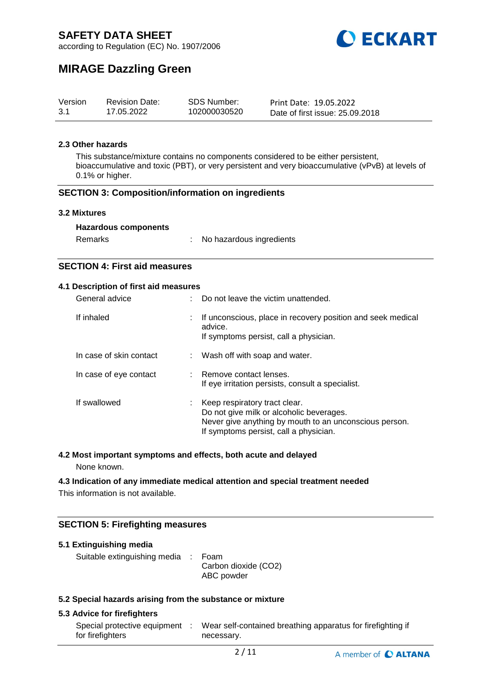

according to Regulation (EC) No. 1907/2006

# **MIRAGE Dazzling Green**

| Version | <b>Revision Date:</b> | SDS Number:  | Print Date: 19.05.2022          |
|---------|-----------------------|--------------|---------------------------------|
| 3.1     | 17.05.2022            | 102000030520 | Date of first issue: 25.09.2018 |

#### **2.3 Other hazards**

This substance/mixture contains no components considered to be either persistent, bioaccumulative and toxic (PBT), or very persistent and very bioaccumulative (vPvB) at levels of 0.1% or higher.

#### **SECTION 3: Composition/information on ingredients**

#### **3.2 Mixtures**

|  | <b>Hazardous components</b> |
|--|-----------------------------|
|--|-----------------------------|

| Remarks | No hazardous ingredients |
|---------|--------------------------|
|---------|--------------------------|

## **SECTION 4: First aid measures**

#### **4.1 Description of first aid measures**

| General advice          |   | Do not leave the victim unattended.                                                                                                                                           |
|-------------------------|---|-------------------------------------------------------------------------------------------------------------------------------------------------------------------------------|
| If inhaled              | ÷ | If unconscious, place in recovery position and seek medical<br>advice.<br>If symptoms persist, call a physician.                                                              |
| In case of skin contact |   | : Wash off with soap and water.                                                                                                                                               |
| In case of eye contact  |   | : Remove contact lenses.<br>If eye irritation persists, consult a specialist.                                                                                                 |
| If swallowed            |   | Keep respiratory tract clear.<br>Do not give milk or alcoholic beverages.<br>Never give anything by mouth to an unconscious person.<br>If symptoms persist, call a physician. |

## **4.2 Most important symptoms and effects, both acute and delayed**

None known.

#### **4.3 Indication of any immediate medical attention and special treatment needed**

This information is not available.

## **SECTION 5: Firefighting measures**

| 5.1 Extinguishing media                                   |                                            |
|-----------------------------------------------------------|--------------------------------------------|
| Suitable extinguishing media :                            | Foam<br>Carbon dioxide (CO2)<br>ABC powder |
| 5.3 Coopial horardo origina from the qubetaneo or mivture |                                            |

#### **5.2 Special hazards arising from the substance or mixture**

#### **5.3 Advice for firefighters**

| Special protective equipment | Wear self-contained breathing apparatus for firefighting if |
|------------------------------|-------------------------------------------------------------|
| for firefighters             | necessary.                                                  |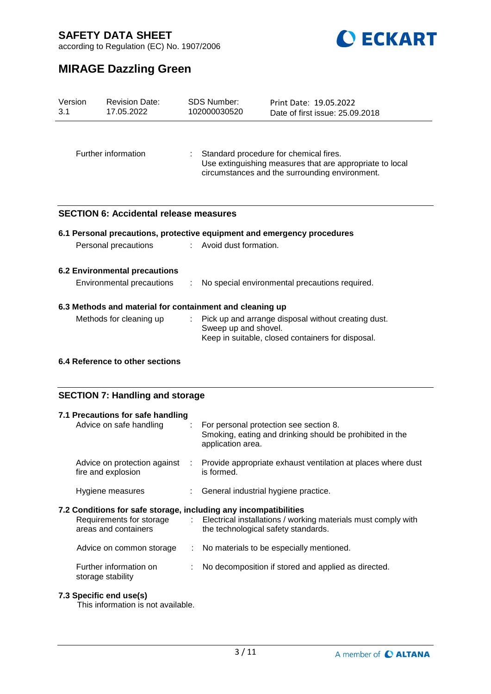

according to Regulation (EC) No. 1907/2006

# **MIRAGE Dazzling Green**

| Version<br>3.1 | <b>Revision Date:</b><br>17.05.2022                      | <b>SDS Number:</b><br>102000030520 | Print Date: 19.05.2022<br>Date of first issue: 25.09.2018                                                                                            |
|----------------|----------------------------------------------------------|------------------------------------|------------------------------------------------------------------------------------------------------------------------------------------------------|
|                | Further information                                      |                                    | Standard procedure for chemical fires.<br>Use extinguishing measures that are appropriate to local<br>circumstances and the surrounding environment. |
|                | <b>SECTION 6: Accidental release measures</b>            |                                    |                                                                                                                                                      |
|                |                                                          |                                    | 6.1 Personal precautions, protective equipment and emergency procedures                                                                              |
|                | Personal precautions                                     | Avoid dust formation.              |                                                                                                                                                      |
|                | <b>6.2 Environmental precautions</b>                     |                                    |                                                                                                                                                      |
|                | Environmental precautions                                |                                    | No special environmental precautions required.                                                                                                       |
|                | 6.3 Methods and material for containment and cleaning up |                                    |                                                                                                                                                      |
|                | Methods for cleaning up                                  | Sweep up and shovel.               | Pick up and arrange disposal without creating dust.<br>Keep in suitable, closed containers for disposal.                                             |
|                | 6.4 Reference to other sections                          |                                    |                                                                                                                                                      |
|                | <b>SECTION 7: Handling and storage</b>                   |                                    |                                                                                                                                                      |

| 7.1 Precautions for safe handling<br>Advice on safe handling                                                         |   | : For personal protection see section 8.<br>Smoking, eating and drinking should be prohibited in the<br>application area. |
|----------------------------------------------------------------------------------------------------------------------|---|---------------------------------------------------------------------------------------------------------------------------|
| Advice on protection against<br>fire and explosion                                                                   | ÷ | Provide appropriate exhaust ventilation at places where dust<br>is formed.                                                |
| Hygiene measures                                                                                                     |   | : General industrial hygiene practice.                                                                                    |
|                                                                                                                      |   |                                                                                                                           |
| 7.2 Conditions for safe storage, including any incompatibilities<br>Requirements for storage<br>areas and containers |   | : Electrical installations / working materials must comply with<br>the technological safety standards.                    |
| Advice on common storage                                                                                             |   | : No materials to be especially mentioned.                                                                                |

3 / 11

## **7.3 Specific end use(s)**

This information is not available.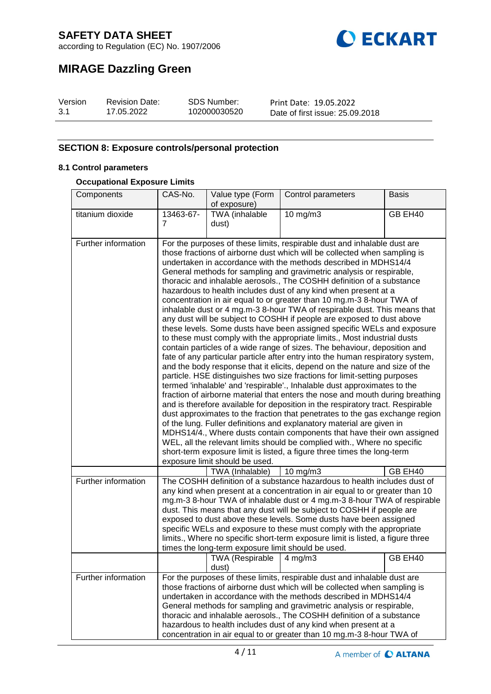

according to Regulation (EC) No. 1907/2006

# **MIRAGE Dazzling Green**

| Version | <b>Revision Date:</b> | <b>SDS Number:</b> | Print Date: 19.05.2022          |
|---------|-----------------------|--------------------|---------------------------------|
| 3.1     | 17.05.2022            | 102000030520       | Date of first issue: 25.09.2018 |

## **SECTION 8: Exposure controls/personal protection**

### **8.1 Control parameters**

#### **Occupational Exposure Limits**

| Components          | CAS-No.                                                                                                                                                                                                                                                                                                                                                                                                                                                                                                                                                                                                                                                                                                                                                                                                                                                                                                                                                                                                                                                                                                                                                                                                                                                                                                                                                                                                                  | Value type (Form<br>of exposure)                   | Control parameters                                                                                                                                                                                                                                                                                                                                                                                                                                                                                                                          | <b>Basis</b> |  |
|---------------------|--------------------------------------------------------------------------------------------------------------------------------------------------------------------------------------------------------------------------------------------------------------------------------------------------------------------------------------------------------------------------------------------------------------------------------------------------------------------------------------------------------------------------------------------------------------------------------------------------------------------------------------------------------------------------------------------------------------------------------------------------------------------------------------------------------------------------------------------------------------------------------------------------------------------------------------------------------------------------------------------------------------------------------------------------------------------------------------------------------------------------------------------------------------------------------------------------------------------------------------------------------------------------------------------------------------------------------------------------------------------------------------------------------------------------|----------------------------------------------------|---------------------------------------------------------------------------------------------------------------------------------------------------------------------------------------------------------------------------------------------------------------------------------------------------------------------------------------------------------------------------------------------------------------------------------------------------------------------------------------------------------------------------------------------|--------------|--|
| titanium dioxide    | 13463-67-                                                                                                                                                                                                                                                                                                                                                                                                                                                                                                                                                                                                                                                                                                                                                                                                                                                                                                                                                                                                                                                                                                                                                                                                                                                                                                                                                                                                                | <b>TWA</b> (inhalable                              | 10 mg/m3                                                                                                                                                                                                                                                                                                                                                                                                                                                                                                                                    | GB EH40      |  |
|                     | 7                                                                                                                                                                                                                                                                                                                                                                                                                                                                                                                                                                                                                                                                                                                                                                                                                                                                                                                                                                                                                                                                                                                                                                                                                                                                                                                                                                                                                        | dust)                                              |                                                                                                                                                                                                                                                                                                                                                                                                                                                                                                                                             |              |  |
| Further information | For the purposes of these limits, respirable dust and inhalable dust are<br>those fractions of airborne dust which will be collected when sampling is<br>undertaken in accordance with the methods described in MDHS14/4<br>General methods for sampling and gravimetric analysis or respirable,<br>thoracic and inhalable aerosols., The COSHH definition of a substance                                                                                                                                                                                                                                                                                                                                                                                                                                                                                                                                                                                                                                                                                                                                                                                                                                                                                                                                                                                                                                                |                                                    |                                                                                                                                                                                                                                                                                                                                                                                                                                                                                                                                             |              |  |
|                     | hazardous to health includes dust of any kind when present at a<br>concentration in air equal to or greater than 10 mg.m-3 8-hour TWA of<br>inhalable dust or 4 mg.m-3 8-hour TWA of respirable dust. This means that<br>any dust will be subject to COSHH if people are exposed to dust above<br>these levels. Some dusts have been assigned specific WELs and exposure<br>to these must comply with the appropriate limits., Most industrial dusts<br>contain particles of a wide range of sizes. The behaviour, deposition and<br>fate of any particular particle after entry into the human respiratory system,<br>and the body response that it elicits, depend on the nature and size of the<br>particle. HSE distinguishes two size fractions for limit-setting purposes<br>termed 'inhalable' and 'respirable'., Inhalable dust approximates to the<br>fraction of airborne material that enters the nose and mouth during breathing<br>and is therefore available for deposition in the respiratory tract. Respirable<br>dust approximates to the fraction that penetrates to the gas exchange region<br>of the lung. Fuller definitions and explanatory material are given in<br>MDHS14/4., Where dusts contain components that have their own assigned<br>WEL, all the relevant limits should be complied with., Where no specific<br>short-term exposure limit is listed, a figure three times the long-term |                                                    |                                                                                                                                                                                                                                                                                                                                                                                                                                                                                                                                             |              |  |
|                     |                                                                                                                                                                                                                                                                                                                                                                                                                                                                                                                                                                                                                                                                                                                                                                                                                                                                                                                                                                                                                                                                                                                                                                                                                                                                                                                                                                                                                          | TWA (Inhalable)                                    | $10$ mg/m $3$                                                                                                                                                                                                                                                                                                                                                                                                                                                                                                                               | GB EH40      |  |
| Further information |                                                                                                                                                                                                                                                                                                                                                                                                                                                                                                                                                                                                                                                                                                                                                                                                                                                                                                                                                                                                                                                                                                                                                                                                                                                                                                                                                                                                                          | times the long-term exposure limit should be used. | The COSHH definition of a substance hazardous to health includes dust of<br>any kind when present at a concentration in air equal to or greater than 10<br>mg.m-3 8-hour TWA of inhalable dust or 4 mg.m-3 8-hour TWA of respirable<br>dust. This means that any dust will be subject to COSHH if people are<br>exposed to dust above these levels. Some dusts have been assigned<br>specific WELs and exposure to these must comply with the appropriate<br>limits., Where no specific short-term exposure limit is listed, a figure three |              |  |
|                     |                                                                                                                                                                                                                                                                                                                                                                                                                                                                                                                                                                                                                                                                                                                                                                                                                                                                                                                                                                                                                                                                                                                                                                                                                                                                                                                                                                                                                          | TWA (Respirable<br>dust)                           | $4 \text{ mg/m}$                                                                                                                                                                                                                                                                                                                                                                                                                                                                                                                            | GB EH40      |  |
| Further information | For the purposes of these limits, respirable dust and inhalable dust are<br>those fractions of airborne dust which will be collected when sampling is<br>undertaken in accordance with the methods described in MDHS14/4<br>General methods for sampling and gravimetric analysis or respirable,<br>thoracic and inhalable aerosols., The COSHH definition of a substance<br>hazardous to health includes dust of any kind when present at a<br>concentration in air equal to or greater than 10 mg.m-3 8-hour TWA of                                                                                                                                                                                                                                                                                                                                                                                                                                                                                                                                                                                                                                                                                                                                                                                                                                                                                                    |                                                    |                                                                                                                                                                                                                                                                                                                                                                                                                                                                                                                                             |              |  |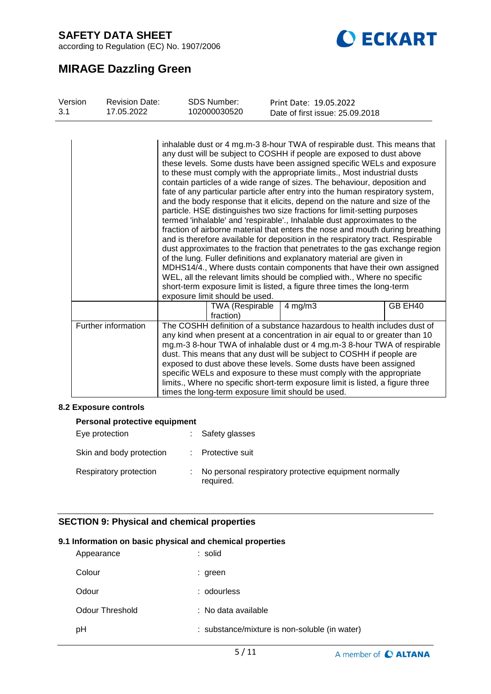according to Regulation (EC) No. 1907/2006



# **MIRAGE Dazzling Green**

| Version<br>3.1 | <b>Revision Date:</b><br>17.05.2022 | <b>SDS Number:</b><br>102000030520                 |              | Print Date: 19.05.2022<br>Date of first issue: 25.09.2018                                                                                                                                                                                                                                                                                                                                                                                                                                                                                                                                                                                                                                                                                                                                                                                                                                                                                                                                                                                                                                                                                                                                                                                                                    |         |
|----------------|-------------------------------------|----------------------------------------------------|--------------|------------------------------------------------------------------------------------------------------------------------------------------------------------------------------------------------------------------------------------------------------------------------------------------------------------------------------------------------------------------------------------------------------------------------------------------------------------------------------------------------------------------------------------------------------------------------------------------------------------------------------------------------------------------------------------------------------------------------------------------------------------------------------------------------------------------------------------------------------------------------------------------------------------------------------------------------------------------------------------------------------------------------------------------------------------------------------------------------------------------------------------------------------------------------------------------------------------------------------------------------------------------------------|---------|
|                |                                     | exposure limit should be used.                     |              | inhalable dust or 4 mg.m-3 8-hour TWA of respirable dust. This means that<br>any dust will be subject to COSHH if people are exposed to dust above<br>these levels. Some dusts have been assigned specific WELs and exposure<br>to these must comply with the appropriate limits., Most industrial dusts<br>contain particles of a wide range of sizes. The behaviour, deposition and<br>fate of any particular particle after entry into the human respiratory system,<br>and the body response that it elicits, depend on the nature and size of the<br>particle. HSE distinguishes two size fractions for limit-setting purposes<br>termed 'inhalable' and 'respirable'., Inhalable dust approximates to the<br>fraction of airborne material that enters the nose and mouth during breathing<br>and is therefore available for deposition in the respiratory tract. Respirable<br>dust approximates to the fraction that penetrates to the gas exchange region<br>of the lung. Fuller definitions and explanatory material are given in<br>MDHS14/4., Where dusts contain components that have their own assigned<br>WEL, all the relevant limits should be complied with., Where no specific<br>short-term exposure limit is listed, a figure three times the long-term |         |
|                |                                     | <b>TWA (Respirable</b><br>fraction)                | $4$ mg/m $3$ |                                                                                                                                                                                                                                                                                                                                                                                                                                                                                                                                                                                                                                                                                                                                                                                                                                                                                                                                                                                                                                                                                                                                                                                                                                                                              | GB EH40 |
|                | Further information                 | times the long-term exposure limit should be used. |              | The COSHH definition of a substance hazardous to health includes dust of<br>any kind when present at a concentration in air equal to or greater than 10<br>mg.m-3 8-hour TWA of inhalable dust or 4 mg.m-3 8-hour TWA of respirable<br>dust. This means that any dust will be subject to COSHH if people are<br>exposed to dust above these levels. Some dusts have been assigned<br>specific WELs and exposure to these must comply with the appropriate<br>limits., Where no specific short-term exposure limit is listed, a figure three                                                                                                                                                                                                                                                                                                                                                                                                                                                                                                                                                                                                                                                                                                                                  |         |

#### **8.2 Exposure controls**

| Personal protective equipment |  |                                                                    |  |  |  |
|-------------------------------|--|--------------------------------------------------------------------|--|--|--|
| Eye protection                |  | Safety glasses                                                     |  |  |  |
| Skin and body protection      |  | Protective suit                                                    |  |  |  |
| Respiratory protection        |  | No personal respiratory protective equipment normally<br>required. |  |  |  |

# **SECTION 9: Physical and chemical properties**

#### **9.1 Information on basic physical and chemical properties**

| Appearance      | : solid                                       |
|-----------------|-----------------------------------------------|
| Colour          | : green                                       |
| Odour           | : odourless                                   |
| Odour Threshold | : No data available                           |
| pH              | : substance/mixture is non-soluble (in water) |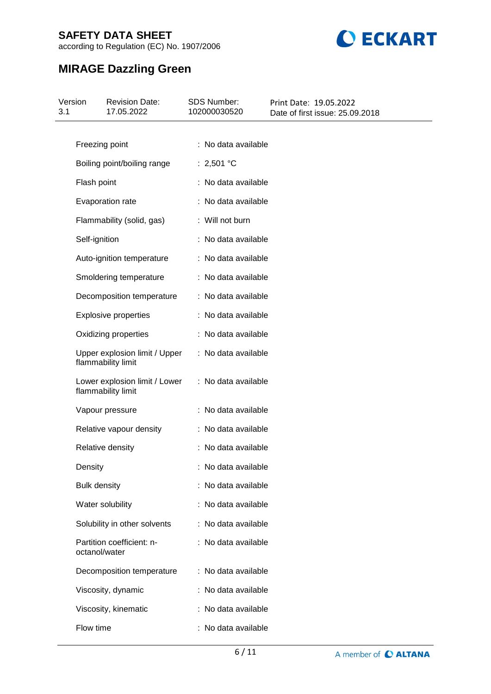according to Regulation (EC) No. 1907/2006



# **MIRAGE Dazzling Green**

| 3.1 | Version             | <b>Revision Date:</b><br>17.05.2022                 | <b>SDS Number:</b><br>102000030520 | Print Date: 19.05.2022<br>Date of first issue: 25.09.2018 |
|-----|---------------------|-----------------------------------------------------|------------------------------------|-----------------------------------------------------------|
|     |                     |                                                     |                                    |                                                           |
|     | Freezing point      |                                                     | : No data available                |                                                           |
|     |                     | Boiling point/boiling range                         | : 2,501 °C                         |                                                           |
|     | Flash point         |                                                     | : No data available                |                                                           |
|     |                     | Evaporation rate                                    | : No data available                |                                                           |
|     |                     | Flammability (solid, gas)                           | : Will not burn                    |                                                           |
|     | Self-ignition       |                                                     | : No data available                |                                                           |
|     |                     | Auto-ignition temperature                           | : No data available                |                                                           |
|     |                     | Smoldering temperature                              | : No data available                |                                                           |
|     |                     | Decomposition temperature                           | : No data available                |                                                           |
|     |                     | <b>Explosive properties</b>                         | : No data available                |                                                           |
|     |                     | Oxidizing properties                                | : No data available                |                                                           |
|     |                     | Upper explosion limit / Upper<br>flammability limit | : No data available                |                                                           |
|     |                     | Lower explosion limit / Lower<br>flammability limit | : No data available                |                                                           |
|     |                     | Vapour pressure                                     | : No data available                |                                                           |
|     |                     | Relative vapour density                             | : No data available                |                                                           |
|     |                     | Relative density                                    | : No data available                |                                                           |
|     | Density             |                                                     | : No data available                |                                                           |
|     | <b>Bulk density</b> |                                                     | : No data available                |                                                           |
|     |                     | Water solubility                                    | : No data available                |                                                           |
|     |                     | Solubility in other solvents                        | : No data available                |                                                           |
|     | octanol/water       | Partition coefficient: n-                           | : No data available                |                                                           |
|     |                     | Decomposition temperature                           | : No data available                |                                                           |
|     |                     | Viscosity, dynamic                                  | : No data available                |                                                           |
|     |                     | Viscosity, kinematic                                | : No data available                |                                                           |
|     | Flow time           |                                                     | : No data available                |                                                           |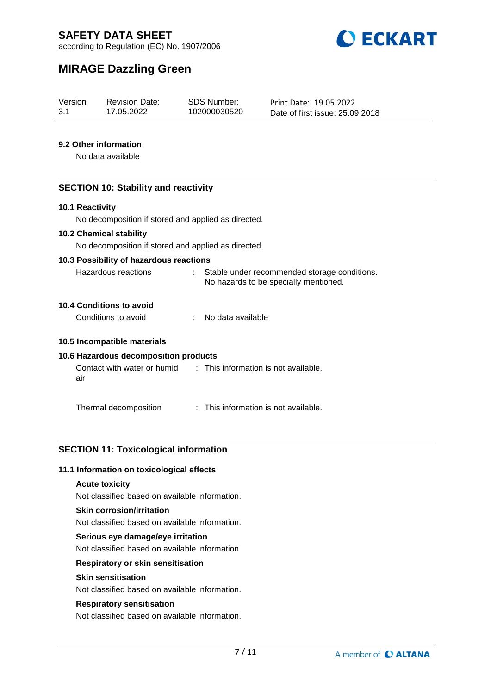

according to Regulation (EC) No. 1907/2006

# **MIRAGE Dazzling Green**

| Version | <b>Revision Date:</b> | SDS Number:  | Print Date: 19.05.2022          |
|---------|-----------------------|--------------|---------------------------------|
| 3.1     | 17.05.2022            | 102000030520 | Date of first issue: 25.09.2018 |

### **9.2 Other information**

No data available

### **SECTION 10: Stability and reactivity**

#### **10.1 Reactivity**

No decomposition if stored and applied as directed.

#### **10.2 Chemical stability**

No decomposition if stored and applied as directed.

#### **10.3 Possibility of hazardous reactions**

| Hazardous reactions | Stable under recommended storage conditions. |  |
|---------------------|----------------------------------------------|--|
|                     | No hazards to be specially mentioned.        |  |

# **10.4 Conditions to avoid**

Conditions to avoid : No data available

#### **10.5 Incompatible materials**

## **10.6 Hazardous decomposition products**

Contact with water or humid air : This information is not available.

Thermal decomposition : This information is not available.

## **SECTION 11: Toxicological information**

#### **11.1 Information on toxicological effects**

#### **Acute toxicity**

Not classified based on available information.

#### **Skin corrosion/irritation**

Not classified based on available information.

#### **Serious eye damage/eye irritation**

Not classified based on available information.

### **Respiratory or skin sensitisation**

#### **Skin sensitisation**

Not classified based on available information.

#### **Respiratory sensitisation**

Not classified based on available information.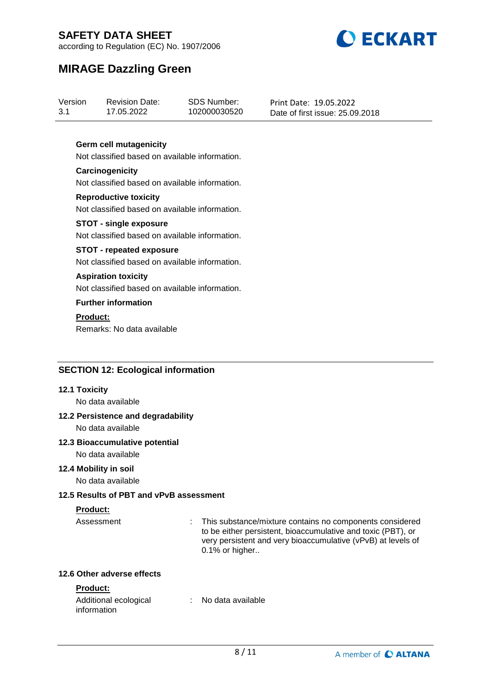

according to Regulation (EC) No. 1907/2006

# **MIRAGE Dazzling Green**

| Version | <b>Revision Date:</b> | SDS Number:  | Print Date: 19.05.2022          |
|---------|-----------------------|--------------|---------------------------------|
| 3.1     | 17.05.2022            | 102000030520 | Date of first issue: 25,09,2018 |

### **Germ cell mutagenicity**

Not classified based on available information.

#### **Carcinogenicity** Not classified based on available information.

**Reproductive toxicity** Not classified based on available information.

#### **STOT - single exposure** Not classified based on available information.

## **STOT - repeated exposure**

Not classified based on available information.

#### **Aspiration toxicity**

Not classified based on available information.

## **Further information**

# **Product:**

Remarks: No data available

## **SECTION 12: Ecological information**

#### **12.1 Toxicity**

No data available

# **12.2 Persistence and degradability**

No data available

#### **12.3 Bioaccumulative potential**

No data available

#### **12.4 Mobility in soil**

No data available

#### **12.5 Results of PBT and vPvB assessment**

## **Product:**

Assessment : This substance/mixture contains no components considered to be either persistent, bioaccumulative and toxic (PBT), or very persistent and very bioaccumulative (vPvB) at levels of 0.1% or higher..

### **12.6 Other adverse effects**

## **Product:**

| Additional ecological | No data available |  |
|-----------------------|-------------------|--|
| information           |                   |  |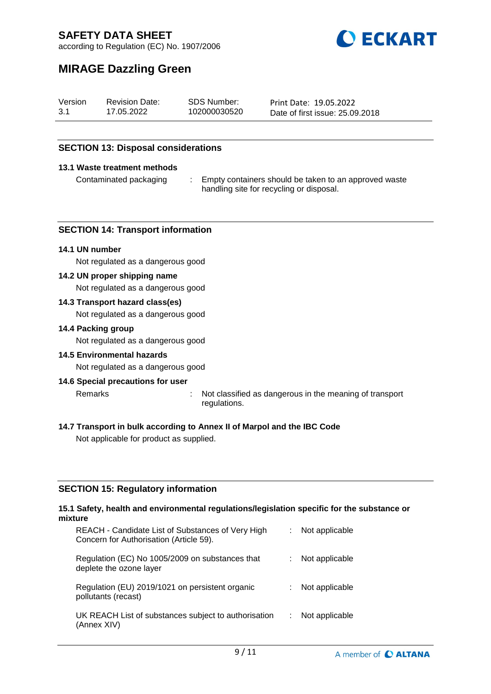

according to Regulation (EC) No. 1907/2006

# **MIRAGE Dazzling Green**

| Version | <b>Revision Date:</b> | SDS Number:  | Print Date: 19.05.2022          |
|---------|-----------------------|--------------|---------------------------------|
| 3.1     | 17.05.2022            | 102000030520 | Date of first issue: 25.09.2018 |

### **SECTION 13: Disposal considerations**

#### **13.1 Waste treatment methods**

Contaminated packaging : Empty containers should be taken to an approved waste handling site for recycling or disposal.

#### **SECTION 14: Transport information**

#### **14.1 UN number**

Not regulated as a dangerous good

#### **14.2 UN proper shipping name**

Not regulated as a dangerous good

#### **14.3 Transport hazard class(es)**

Not regulated as a dangerous good

#### **14.4 Packing group**

Not regulated as a dangerous good

#### **14.5 Environmental hazards**

Not regulated as a dangerous good

#### **14.6 Special precautions for user**

Remarks : Not classified as dangerous in the meaning of transport

- regulations.
- **14.7 Transport in bulk according to Annex II of Marpol and the IBC Code**

Not applicable for product as supplied.

#### **SECTION 15: Regulatory information**

#### **15.1 Safety, health and environmental regulations/legislation specific for the substance or mixture**

| REACH - Candidate List of Substances of Very High<br>Concern for Authorisation (Article 59). | Not applicable |
|----------------------------------------------------------------------------------------------|----------------|
| Regulation (EC) No 1005/2009 on substances that<br>deplete the ozone layer                   | Not applicable |
| Regulation (EU) 2019/1021 on persistent organic<br>pollutants (recast)                       | Not applicable |
| UK REACH List of substances subject to authorisation<br>(Annex XIV)                          | Not applicable |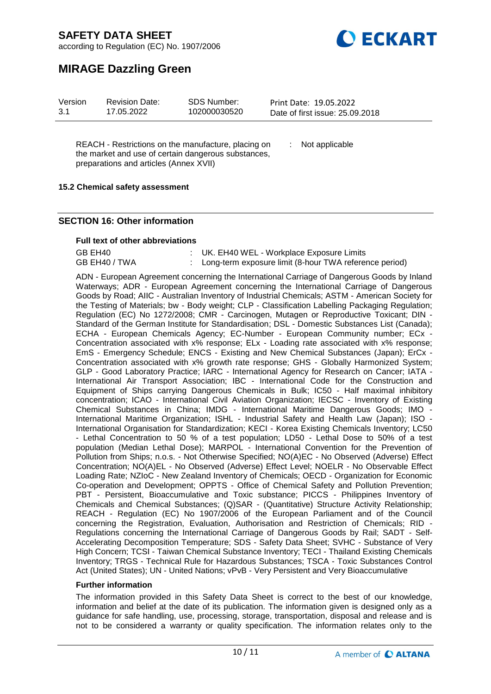



# **MIRAGE Dazzling Green**

| Version | <b>Revision Date:</b> | <b>SDS Number:</b> | Print Date: 19.05.2022          |  |
|---------|-----------------------|--------------------|---------------------------------|--|
| 3.1     | 17.05.2022            | 102000030520       | Date of first issue: 25.09.2018 |  |

REACH - Restrictions on the manufacture, placing on the market and use of certain dangerous substances, preparations and articles (Annex XVII)

: Not applicable

#### **15.2 Chemical safety assessment**

### **SECTION 16: Other information**

#### **Full text of other abbreviations**

| GB EH40       | : UK. EH40 WEL - Workplace Exposure Limits               |
|---------------|----------------------------------------------------------|
| GB EH40 / TWA | : Long-term exposure limit (8-hour TWA reference period) |

ADN - European Agreement concerning the International Carriage of Dangerous Goods by Inland Waterways; ADR - European Agreement concerning the International Carriage of Dangerous Goods by Road; AIIC - Australian Inventory of Industrial Chemicals; ASTM - American Society for the Testing of Materials; bw - Body weight; CLP - Classification Labelling Packaging Regulation; Regulation (EC) No 1272/2008; CMR - Carcinogen, Mutagen or Reproductive Toxicant; DIN - Standard of the German Institute for Standardisation; DSL - Domestic Substances List (Canada); ECHA - European Chemicals Agency; EC-Number - European Community number; ECx Concentration associated with x% response; ELx - Loading rate associated with x% response; EmS - Emergency Schedule; ENCS - Existing and New Chemical Substances (Japan); ErCx - Concentration associated with x% growth rate response; GHS - Globally Harmonized System; GLP - Good Laboratory Practice; IARC - International Agency for Research on Cancer; IATA - International Air Transport Association; IBC - International Code for the Construction and Equipment of Ships carrying Dangerous Chemicals in Bulk; IC50 - Half maximal inhibitory concentration; ICAO - International Civil Aviation Organization; IECSC - Inventory of Existing Chemical Substances in China; IMDG - International Maritime Dangerous Goods; IMO - International Maritime Organization; ISHL - Industrial Safety and Health Law (Japan); ISO - International Organisation for Standardization; KECI - Korea Existing Chemicals Inventory; LC50 - Lethal Concentration to 50 % of a test population; LD50 - Lethal Dose to 50% of a test population (Median Lethal Dose); MARPOL - International Convention for the Prevention of Pollution from Ships; n.o.s. - Not Otherwise Specified; NO(A)EC - No Observed (Adverse) Effect Concentration; NO(A)EL - No Observed (Adverse) Effect Level; NOELR - No Observable Effect Loading Rate; NZIoC - New Zealand Inventory of Chemicals; OECD - Organization for Economic Co-operation and Development; OPPTS - Office of Chemical Safety and Pollution Prevention; PBT - Persistent, Bioaccumulative and Toxic substance: PICCS - Philippines Inventory of Chemicals and Chemical Substances; (Q)SAR - (Quantitative) Structure Activity Relationship; REACH - Regulation (EC) No 1907/2006 of the European Parliament and of the Council concerning the Registration, Evaluation, Authorisation and Restriction of Chemicals; RID - Regulations concerning the International Carriage of Dangerous Goods by Rail; SADT - Self-Accelerating Decomposition Temperature; SDS - Safety Data Sheet; SVHC - Substance of Very High Concern; TCSI - Taiwan Chemical Substance Inventory; TECI - Thailand Existing Chemicals Inventory; TRGS - Technical Rule for Hazardous Substances; TSCA - Toxic Substances Control Act (United States); UN - United Nations; vPvB - Very Persistent and Very Bioaccumulative

#### **Further information**

The information provided in this Safety Data Sheet is correct to the best of our knowledge, information and belief at the date of its publication. The information given is designed only as a guidance for safe handling, use, processing, storage, transportation, disposal and release and is not to be considered a warranty or quality specification. The information relates only to the